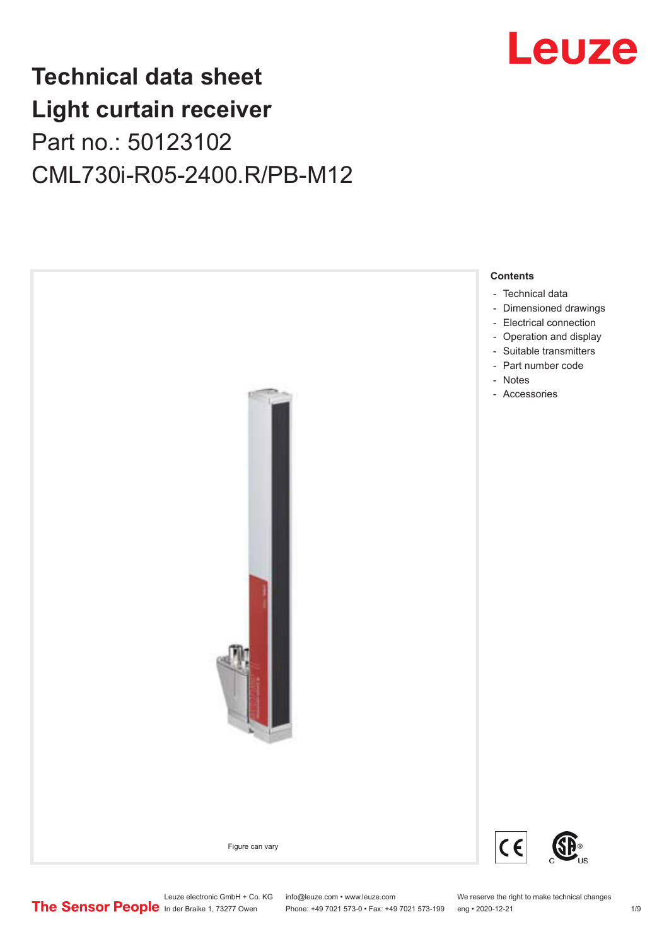

## **Technical data sheet Light curtain receiver** Part no.: 50123102 CML730i-R05-2400.R/PB-M12



Leuze electronic GmbH + Co. KG info@leuze.com • www.leuze.com We reserve the right to make technical changes<br>
The Sensor People in der Braike 1, 73277 Owen Phone: +49 7021 573-0 • Fax: +49 7021 573-199 eng • 2020-12-21 Phone: +49 7021 573-0 • Fax: +49 7021 573-199 eng • 2020-12-21 1 2020-12-21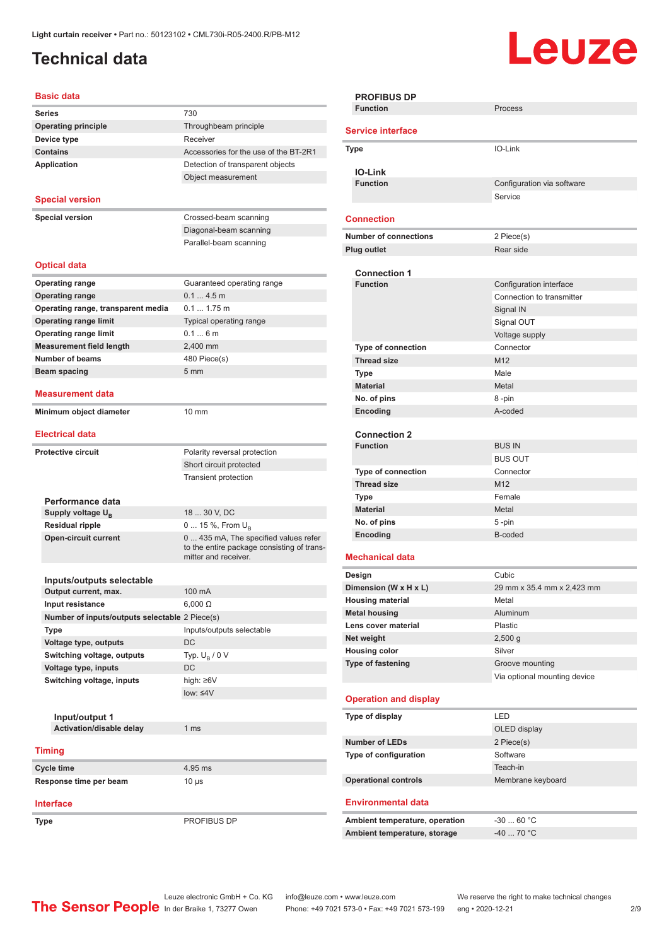### <span id="page-1-0"></span>**Technical data**

# Leuze

| <b>Series</b>                                                                      | 730                                                                                 |
|------------------------------------------------------------------------------------|-------------------------------------------------------------------------------------|
| <b>Operating principle</b>                                                         | Throughbeam principle                                                               |
| Device type                                                                        | Receiver                                                                            |
| <b>Contains</b>                                                                    | Accessories for the use of the BT-2R1                                               |
| <b>Application</b>                                                                 | Detection of transparent objects                                                    |
|                                                                                    | Object measurement                                                                  |
| <b>Special version</b>                                                             |                                                                                     |
|                                                                                    |                                                                                     |
| <b>Special version</b>                                                             | Crossed-beam scanning                                                               |
|                                                                                    | Diagonal-beam scanning                                                              |
|                                                                                    | Parallel-beam scanning                                                              |
| <b>Optical data</b>                                                                |                                                                                     |
|                                                                                    |                                                                                     |
| <b>Operating range</b>                                                             | Guaranteed operating range                                                          |
| <b>Operating range</b>                                                             | 0.14.5m<br>$0.1$ 1.75 m                                                             |
| Operating range, transparent media<br><b>Operating range limit</b>                 | Typical operating range                                                             |
| <b>Operating range limit</b>                                                       | 0.16m                                                                               |
| <b>Measurement field length</b>                                                    | 2,400 mm                                                                            |
| <b>Number of beams</b>                                                             | 480 Piece(s)                                                                        |
| Beam spacing                                                                       | 5 <sub>mm</sub>                                                                     |
|                                                                                    |                                                                                     |
| <b>Measurement data</b>                                                            |                                                                                     |
| Minimum object diameter                                                            | 10 mm                                                                               |
|                                                                                    |                                                                                     |
|                                                                                    |                                                                                     |
|                                                                                    |                                                                                     |
|                                                                                    | Polarity reversal protection                                                        |
|                                                                                    | Short circuit protected                                                             |
|                                                                                    | <b>Transient protection</b>                                                         |
|                                                                                    |                                                                                     |
| Performance data                                                                   |                                                                                     |
| Supply voltage $U_{\rm B}$                                                         | 18  30 V, DC                                                                        |
| <b>Residual ripple</b>                                                             | 0  15 %, From $U_{\rm B}$                                                           |
| <b>Open-circuit current</b>                                                        | 0  435 mA, The specified values refer<br>to the entire package consisting of trans- |
|                                                                                    | mitter and receiver.                                                                |
|                                                                                    |                                                                                     |
| Inputs/outputs selectable                                                          | 100 mA                                                                              |
| Output current, max.<br>Input resistance                                           | $6,000 \Omega$                                                                      |
| Number of inputs/outputs selectable 2 Piece(s)                                     |                                                                                     |
| <b>Type</b>                                                                        | Inputs/outputs selectable                                                           |
| Voltage type, outputs                                                              | DC                                                                                  |
| Switching voltage, outputs                                                         | Typ. $U_R / 0 V$                                                                    |
| Voltage type, inputs                                                               | <b>DC</b>                                                                           |
| Switching voltage, inputs                                                          | high: $\geq 6V$                                                                     |
|                                                                                    | $low: 4V$                                                                           |
|                                                                                    |                                                                                     |
| Input/output 1                                                                     |                                                                                     |
| Activation/disable delay                                                           | 1 ms                                                                                |
|                                                                                    |                                                                                     |
|                                                                                    |                                                                                     |
| <b>Electrical data</b><br><b>Protective circuit</b><br><b>Timing</b><br>Cycle time | 4.95 ms                                                                             |
| Response time per beam                                                             | $10 \mu s$                                                                          |

| <b>PROFIBUS DP</b><br><b>Function</b> | Process                      |  |
|---------------------------------------|------------------------------|--|
|                                       |                              |  |
| <b>Service interface</b>              |                              |  |
| <b>Type</b>                           | IO-Link                      |  |
| <b>IO-Link</b>                        |                              |  |
| <b>Function</b>                       | Configuration via software   |  |
|                                       | Service                      |  |
| <b>Connection</b>                     |                              |  |
|                                       |                              |  |
| <b>Number of connections</b>          | 2 Piece(s)                   |  |
| <b>Plug outlet</b>                    | Rear side                    |  |
| <b>Connection 1</b>                   |                              |  |
| <b>Function</b>                       | Configuration interface      |  |
|                                       | Connection to transmitter    |  |
|                                       | Signal IN                    |  |
|                                       | Signal OUT                   |  |
|                                       | Voltage supply               |  |
| <b>Type of connection</b>             | Connector                    |  |
| <b>Thread size</b>                    | M <sub>12</sub>              |  |
| Type                                  | Male                         |  |
| <b>Material</b>                       | Metal                        |  |
| No. of pins                           | 8-pin                        |  |
| Encoding                              | A-coded                      |  |
|                                       |                              |  |
| <b>Connection 2</b>                   |                              |  |
| <b>Function</b>                       | <b>BUS IN</b>                |  |
|                                       | <b>BUS OUT</b>               |  |
| <b>Type of connection</b>             | Connector                    |  |
| <b>Thread size</b>                    | M <sub>12</sub><br>Female    |  |
| Type<br><b>Material</b>               | Metal                        |  |
| No. of pins                           | 5-pin                        |  |
| Encoding                              | B-coded                      |  |
|                                       |                              |  |
| <b>Mechanical data</b>                |                              |  |
| Design                                | Cubic                        |  |
| Dimension (W x H x L)                 | 29 mm x 35.4 mm x 2,423 mm   |  |
| <b>Housing material</b>               | Metal                        |  |
| <b>Metal housing</b>                  | Aluminum                     |  |
| Lens cover material                   | Plastic                      |  |
| Net weight                            | 2,500 g                      |  |
| <b>Housing color</b>                  | Silver                       |  |
| Type of fastening                     | Groove mounting              |  |
|                                       | Via optional mounting device |  |
| <b>Operation and display</b>          |                              |  |
| Type of display                       | LED                          |  |
|                                       | OLED display                 |  |
| <b>Number of LEDs</b>                 | 2 Piece(s)                   |  |
| Type of configuration                 | Software                     |  |
|                                       | Teach-in                     |  |
| <b>Operational controls</b>           | Membrane keyboard            |  |
|                                       |                              |  |
| <b>Environmental data</b>             |                              |  |
| Ambient temperature, operation        | $-3060 °C$                   |  |

**Ambient temperature, operation** -30 ... 60 °C Ambient temperature, storage  $-40$  ... 70 °C

**Type** PROFIBUS DP

Leuze electronic GmbH + Co. KG info@leuze.com • www.leuze.com We reserve the right to make technical changes<br> **The Sensor People** in der Braike 1, 73277 Owen Phone: +49 7021 573-0 • Fax: +49 7021 573-199 eng • 2020-12-21 Phone: +49 7021 573-0 • Fax: +49 7021 573-199 eng • 2020-12-21 2 79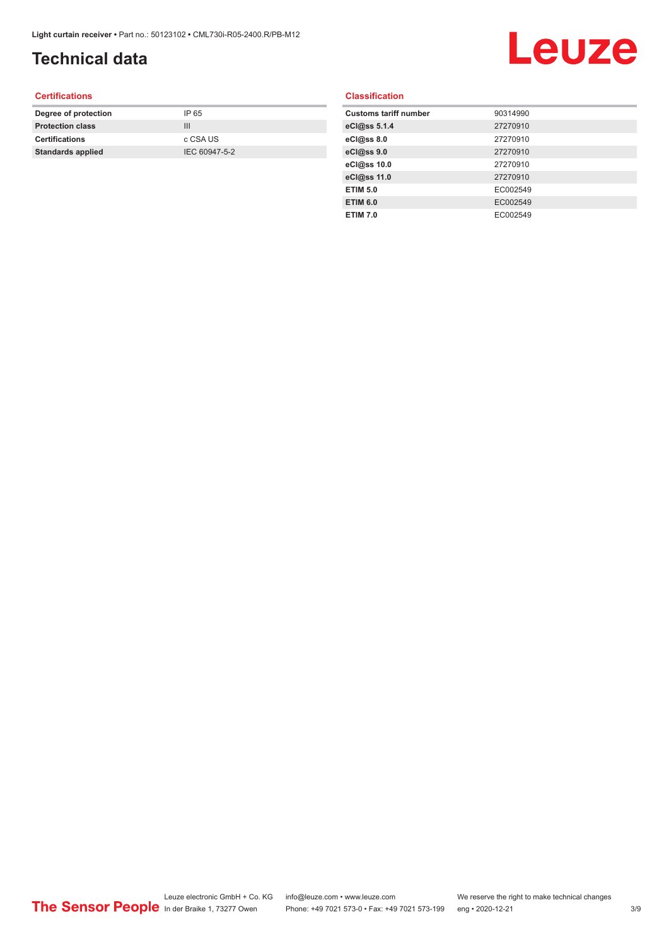## **Technical data**

## Leuze

#### **Certifications**

| Degree of protection     | IP 65         |
|--------------------------|---------------|
| <b>Protection class</b>  | Ш             |
| <b>Certifications</b>    | c CSA US      |
| <b>Standards applied</b> | IEC 60947-5-2 |
|                          |               |

#### **Classification**

| <b>Customs tariff number</b> | 90314990 |
|------------------------------|----------|
| eCl@ss 5.1.4                 | 27270910 |
| eCl@ss 8.0                   | 27270910 |
| eCl@ss 9.0                   | 27270910 |
| eCl@ss 10.0                  | 27270910 |
| eCl@ss 11.0                  | 27270910 |
| <b>ETIM 5.0</b>              | EC002549 |
| <b>ETIM 6.0</b>              | EC002549 |
| <b>ETIM 7.0</b>              | EC002549 |
|                              |          |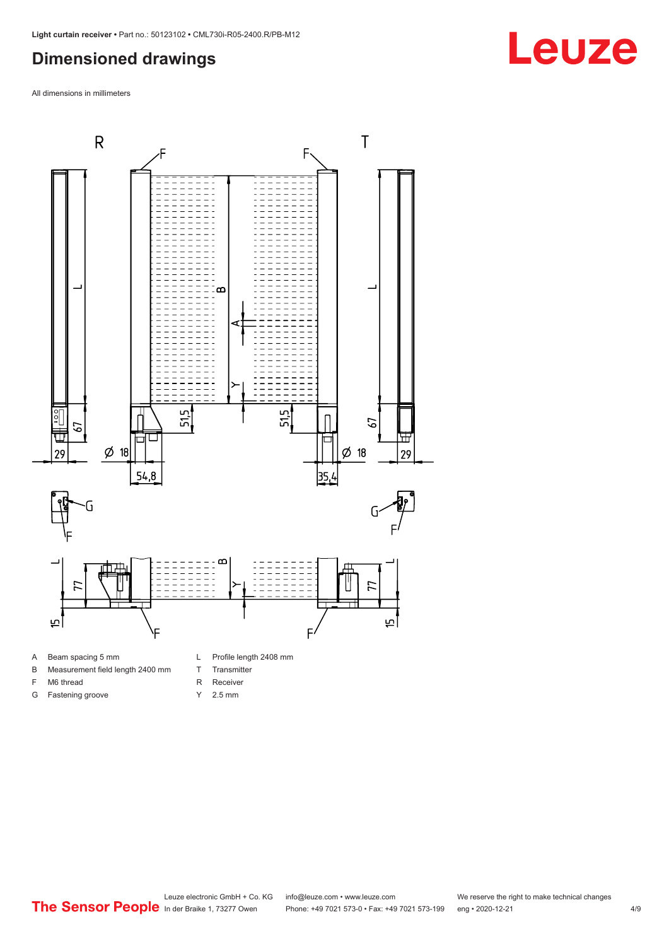#### <span id="page-3-0"></span>**Dimensioned drawings**

All dimensions in millimeters



A Beam spacing 5 mm

G Fastening groove

- B Measurement field length 2400 mm
- F M6 thread
- R Receiver
	- Y 2.5 mm

T Transmitter

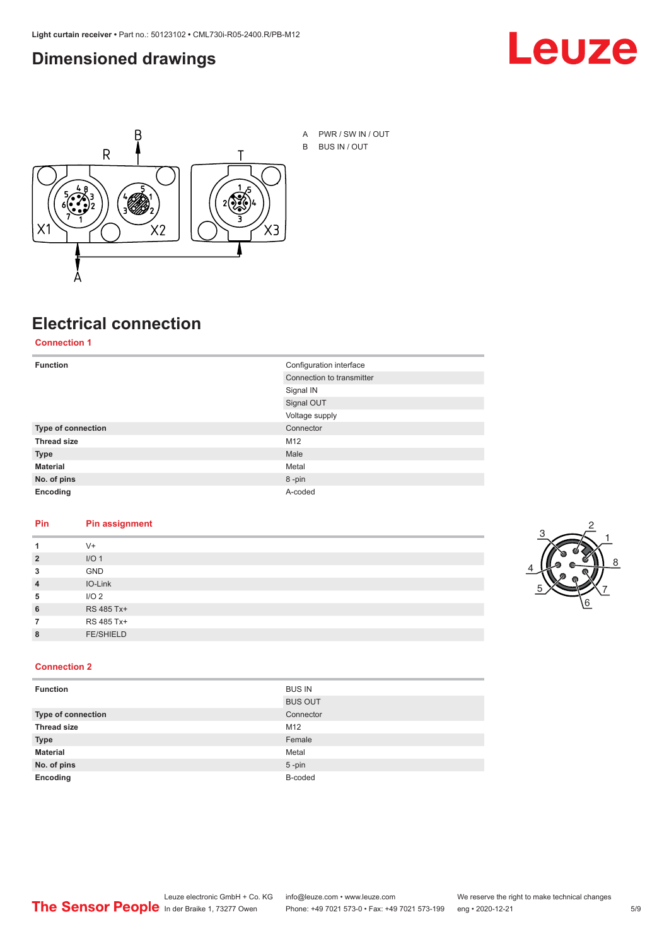#### <span id="page-4-0"></span>**Dimensioned drawings**





## **Electrical connection**

**Connection 1**

| <b>Function</b>           | Configuration interface   |  |
|---------------------------|---------------------------|--|
|                           | Connection to transmitter |  |
|                           | Signal IN                 |  |
|                           | Signal OUT                |  |
|                           | Voltage supply            |  |
| <b>Type of connection</b> | Connector                 |  |
| <b>Thread size</b>        | M12                       |  |
| <b>Type</b>               | Male                      |  |
| <b>Material</b>           | Metal                     |  |
| No. of pins               | 8-pin                     |  |
| Encoding                  | A-coded                   |  |

#### **Pin Pin assignment**

| 1              | $V +$            |  |  |
|----------------|------------------|--|--|
| $\overline{2}$ | I/O <sub>1</sub> |  |  |
| 3              | <b>GND</b>       |  |  |
| $\overline{4}$ | IO-Link          |  |  |
| 5              | I/O <sub>2</sub> |  |  |
| 6              | RS 485 Tx+       |  |  |
| 7              | RS 485 Tx+       |  |  |
| 8              | <b>FE/SHIELD</b> |  |  |
|                |                  |  |  |



#### **Connection 2**

| <b>Function</b>    | <b>BUS IN</b>  |
|--------------------|----------------|
|                    | <b>BUS OUT</b> |
| Type of connection | Connector      |
| <b>Thread size</b> | M12            |
| <b>Type</b>        | Female         |
| <b>Material</b>    | Metal          |
| No. of pins        | $5 - pin$      |
| Encoding           | B-coded        |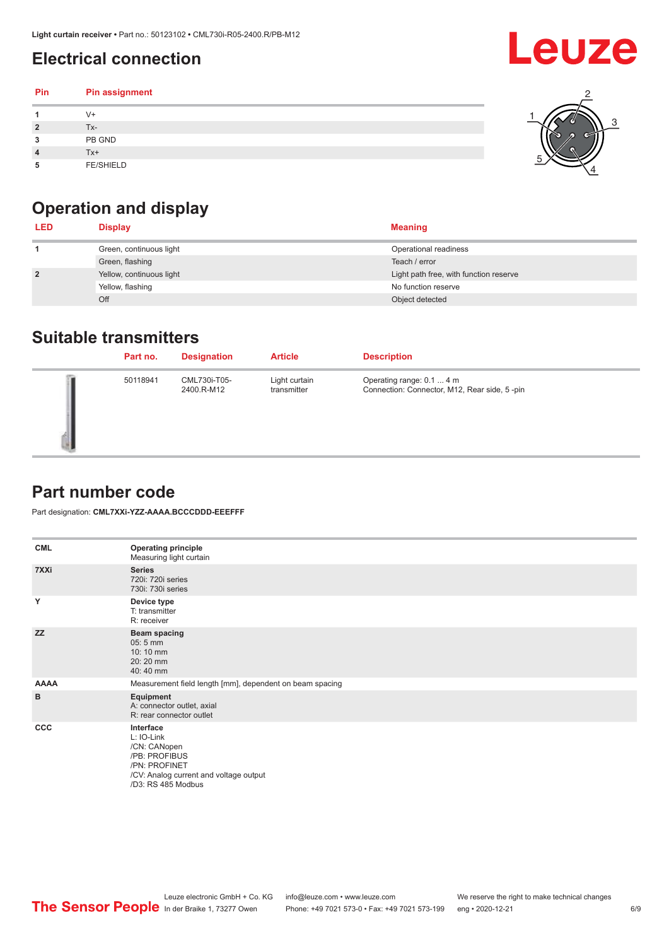### <span id="page-5-0"></span>**Electrical connection**

| Pin | Pin assignment   |   |
|-----|------------------|---|
|     | $V +$            | ⌒ |
|     | Tx-              |   |
| 3   | PB GND           |   |
|     | $Tx+$            |   |
| 5   | <b>FE/SHIELD</b> |   |

## **Operation and display**

| <b>LED</b>     | <b>Display</b>           | <b>Meaning</b>                         |
|----------------|--------------------------|----------------------------------------|
|                | Green, continuous light  | Operational readiness                  |
|                | Green, flashing          | Teach / error                          |
| $\overline{2}$ | Yellow, continuous light | Light path free, with function reserve |
|                | Yellow, flashing         | No function reserve                    |
|                | Off                      | Object detected                        |

#### **Suitable transmitters**

| Part no. | <b>Designation</b>         | <b>Article</b>               | <b>Description</b>                                                        |
|----------|----------------------------|------------------------------|---------------------------------------------------------------------------|
| 50118941 | CML730i-T05-<br>2400.R-M12 | Light curtain<br>transmitter | Operating range: 0.1  4 m<br>Connection: Connector, M12, Rear side, 5-pin |

#### **Part number code**

Part designation: **CML7XXi-YZZ-AAAA.BCCCDDD-EEEFFF**

| <b>CML</b>  | <b>Operating principle</b><br>Measuring light curtain                                                                                     |
|-------------|-------------------------------------------------------------------------------------------------------------------------------------------|
| 7XXi        | <b>Series</b><br>720i: 720i series<br>730i: 730i series                                                                                   |
| Y           | Device type<br>T: transmitter<br>R: receiver                                                                                              |
| <b>ZZ</b>   | <b>Beam spacing</b><br>$05:5$ mm<br>10:10 mm<br>20:20 mm<br>40:40 mm                                                                      |
| <b>AAAA</b> | Measurement field length [mm], dependent on beam spacing                                                                                  |
| B           | Equipment<br>A: connector outlet, axial<br>R: rear connector outlet                                                                       |
| <b>CCC</b>  | Interface<br>L: IO-Link<br>/CN: CANopen<br>/PB: PROFIBUS<br>/PN: PROFINET<br>/CV: Analog current and voltage output<br>/D3: RS 485 Modbus |



**Leuze**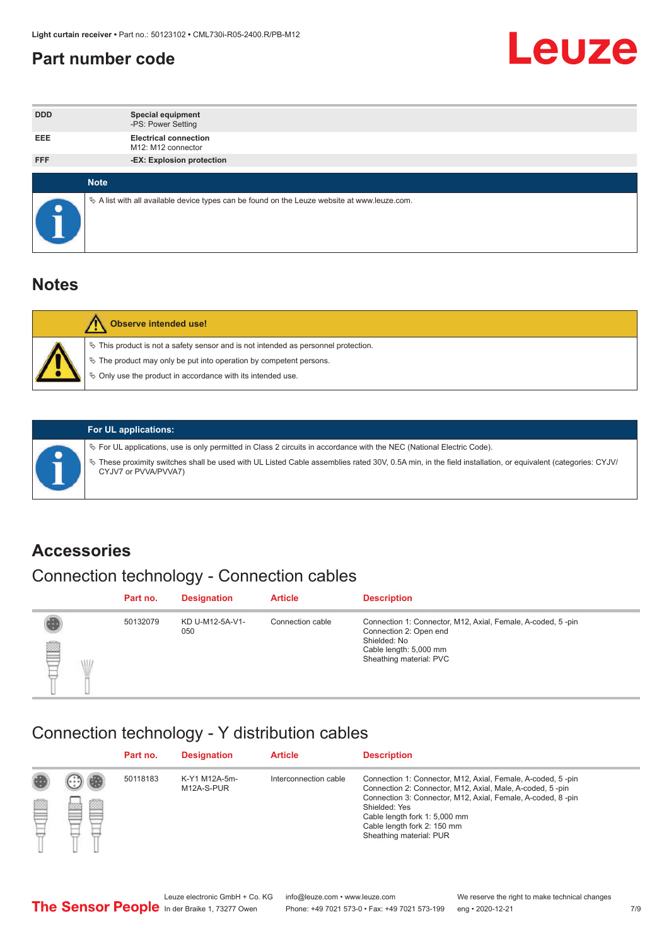#### <span id="page-6-0"></span>**Part number code**



| <b>DDD</b> | <b>Special equipment</b><br>-PS: Power Setting                                                  |
|------------|-------------------------------------------------------------------------------------------------|
| <b>EEE</b> | <b>Electrical connection</b><br>M12: M12 connector                                              |
| <b>FFF</b> | -EX: Explosion protection                                                                       |
|            | <b>Note</b>                                                                                     |
|            |                                                                                                 |
|            | $\&$ A list with all available device types can be found on the Leuze website at www.leuze.com. |

#### **Notes**

| Observe intended use!                                                                                                                                                                                                            |
|----------------------------------------------------------------------------------------------------------------------------------------------------------------------------------------------------------------------------------|
| $\%$ This product is not a safety sensor and is not intended as personnel protection.<br>$\%$ The product may only be put into operation by competent persons.<br>$\%$ Only use the product in accordance with its intended use. |
|                                                                                                                                                                                                                                  |



#### **For UL applications:**

ª For UL applications, use is only permitted in Class 2 circuits in accordance with the NEC (National Electric Code). ª These proximity switches shall be used with UL Listed Cable assemblies rated 30V, 0.5A min, in the field installation, or equivalent (categories: CYJV/ CYJV7 or PVVA/PVVA7)

#### **Accessories**

### Connection technology - Connection cables

|        | Part no. | <b>Designation</b>     | <b>Article</b>   | <b>Description</b>                                                                                                                                         |
|--------|----------|------------------------|------------------|------------------------------------------------------------------------------------------------------------------------------------------------------------|
| 2<br>W | 50132079 | KD U-M12-5A-V1-<br>050 | Connection cable | Connection 1: Connector, M12, Axial, Female, A-coded, 5-pin<br>Connection 2: Open end<br>Shielded: No<br>Cable length: 5,000 mm<br>Sheathing material: PVC |

#### Connection technology - Y distribution cables

|             |   | Part no. | <b>Designation</b>          | <b>Article</b>        | <b>Description</b>                                                                                                                                                                                                                                                                                  |
|-------------|---|----------|-----------------------------|-----------------------|-----------------------------------------------------------------------------------------------------------------------------------------------------------------------------------------------------------------------------------------------------------------------------------------------------|
| 圔<br>⋿<br>٣ | ø | 50118183 | K-Y1 M12A-5m-<br>M12A-S-PUR | Interconnection cable | Connection 1: Connector, M12, Axial, Female, A-coded, 5-pin<br>Connection 2: Connector, M12, Axial, Male, A-coded, 5-pin<br>Connection 3: Connector, M12, Axial, Female, A-coded, 8-pin<br>Shielded: Yes<br>Cable length fork 1: 5,000 mm<br>Cable length fork 2: 150 mm<br>Sheathing material: PUR |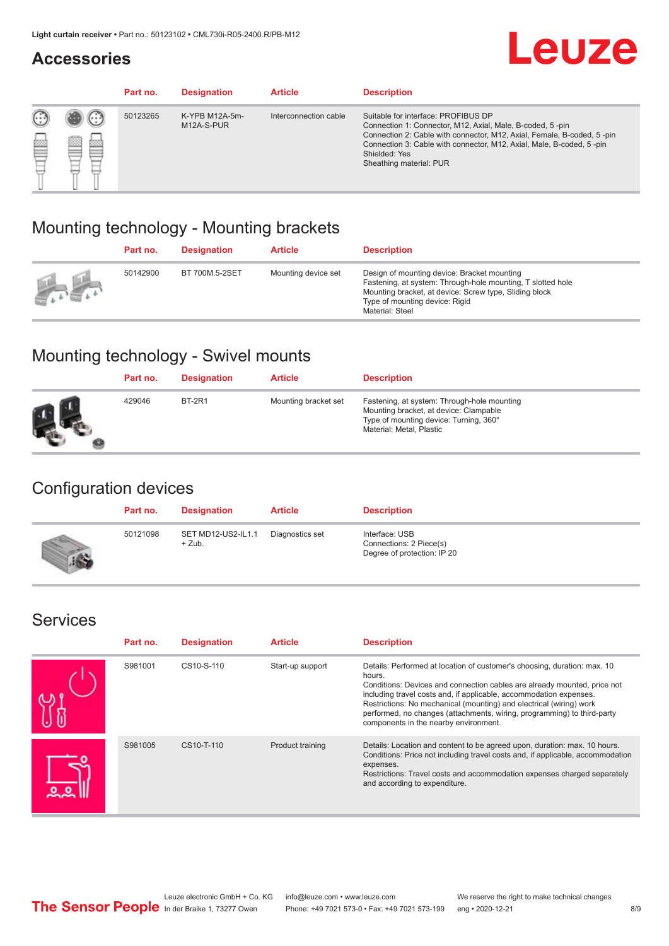#### **Accessories**

## **Leuze**

|     |          | Part no. | <b>Designation</b>           | <b>Article</b>        | <b>Description</b>                                                                                                                                                                                                                                                                             |
|-----|----------|----------|------------------------------|-----------------------|------------------------------------------------------------------------------------------------------------------------------------------------------------------------------------------------------------------------------------------------------------------------------------------------|
| 622 | ×<br>622 | 50123265 | K-YPB M12A-5m-<br>M12A-S-PUR | Interconnection cable | Suitable for interface: PROFIBUS DP<br>Connection 1: Connector, M12, Axial, Male, B-coded, 5-pin<br>Connection 2: Cable with connector, M12, Axial, Female, B-coded, 5-pin<br>Connection 3: Cable with connector, M12, Axial, Male, B-coded, 5-pin<br>Shielded: Yes<br>Sheathing material: PUR |

#### Mounting technology - Mounting brackets

|               | Part no. | <b>Designation</b> | <b>Article</b>      | <b>Description</b>                                                                                                                                                                                                        |
|---------------|----------|--------------------|---------------------|---------------------------------------------------------------------------------------------------------------------------------------------------------------------------------------------------------------------------|
| $\frac{1}{2}$ | 50142900 | BT 700M.5-2SET     | Mounting device set | Design of mounting device: Bracket mounting<br>Fastening, at system: Through-hole mounting, T slotted hole<br>Mounting bracket, at device: Screw type, Sliding block<br>Type of mounting device: Rigid<br>Material: Steel |

### Mounting technology - Swivel mounts

| Part no. | <b>Designation</b> | <b>Article</b>       | <b>Description</b>                                                                                                                                          |
|----------|--------------------|----------------------|-------------------------------------------------------------------------------------------------------------------------------------------------------------|
| 429046   | <b>BT-2R1</b>      | Mounting bracket set | Fastening, at system: Through-hole mounting<br>Mounting bracket, at device: Clampable<br>Type of mounting device: Turning, 360°<br>Material: Metal, Plastic |

#### Configuration devices

| Part no. | <b>Designation</b>             | <b>Article</b>  | <b>Description</b>                                                       |
|----------|--------------------------------|-----------------|--------------------------------------------------------------------------|
| 50121098 | SET MD12-US2-IL1.1<br>$+$ Zub. | Diagnostics set | Interface: USB<br>Connections: 2 Piece(s)<br>Degree of protection: IP 20 |

#### Services

| Part no. | <b>Designation</b> | <b>Article</b>   | <b>Description</b>                                                                                                                                                                                                                                                                                                                                                                                                              |
|----------|--------------------|------------------|---------------------------------------------------------------------------------------------------------------------------------------------------------------------------------------------------------------------------------------------------------------------------------------------------------------------------------------------------------------------------------------------------------------------------------|
| S981001  | CS10-S-110         | Start-up support | Details: Performed at location of customer's choosing, duration: max. 10<br>hours.<br>Conditions: Devices and connection cables are already mounted, price not<br>including travel costs and, if applicable, accommodation expenses.<br>Restrictions: No mechanical (mounting) and electrical (wiring) work<br>performed, no changes (attachments, wiring, programming) to third-party<br>components in the nearby environment. |
| S981005  | CS10-T-110         | Product training | Details: Location and content to be agreed upon, duration: max. 10 hours.<br>Conditions: Price not including travel costs and, if applicable, accommodation<br>expenses.<br>Restrictions: Travel costs and accommodation expenses charged separately<br>and according to expenditure.                                                                                                                                           |